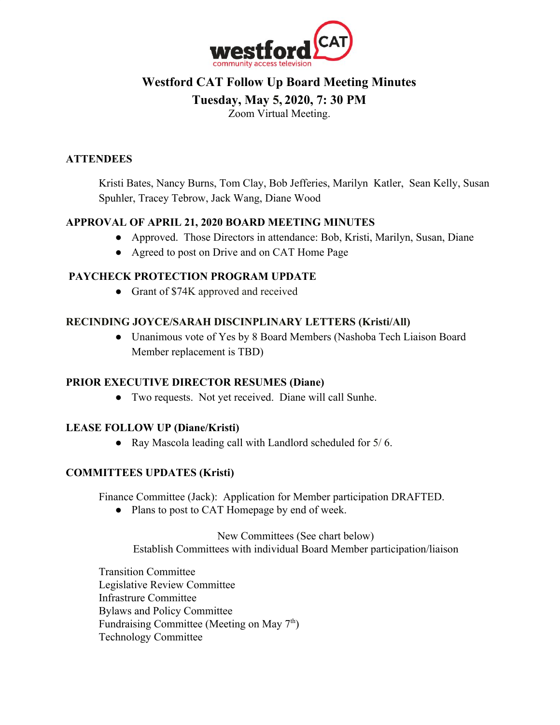

# **Westford CAT Follow Up Board Meeting Minutes**

## **Tuesday, May 5, 2020, 7: 30 PM**

Zoom Virtual Meeting.

## **ATTENDEES**

Kristi Bates, Nancy Burns, Tom Clay, Bob Jefferies, Marilyn Katler, Sean Kelly, Susan Spuhler, Tracey Tebrow, Jack Wang, Diane Wood

## **APPROVAL OF APRIL 21, 2020 BOARD MEETING MINUTES**

- Approved. Those Directors in attendance: Bob, Kristi, Marilyn, Susan, Diane
- Agreed to post on Drive and on CAT Home Page

## **PAYCHECK PROTECTION PROGRAM UPDATE**

• Grant of \$74K approved and received

## **RECINDING JOYCE/SARAH DISCINPLINARY LETTERS (Kristi/All)**

● Unanimous vote of Yes by 8 Board Members (Nashoba Tech Liaison Board Member replacement is TBD)

### **PRIOR EXECUTIVE DIRECTOR RESUMES (Diane)**

● Two requests. Not yet received. Diane will call Sunhe.

## **LEASE FOLLOW UP (Diane/Kristi)**

● Ray Mascola leading call with Landlord scheduled for 5/ 6.

## **COMMITTEES UPDATES (Kristi)**

Finance Committee (Jack): Application for Member participation DRAFTED.

● Plans to post to CAT Homepage by end of week.

New Committees (See chart below) Establish Committees with individual Board Member participation/liaison

Transition Committee Legislative Review Committee Infrastrure Committee Bylaws and Policy Committee Fundraising Committee (Meeting on May  $7<sup>th</sup>$ ) Technology Committee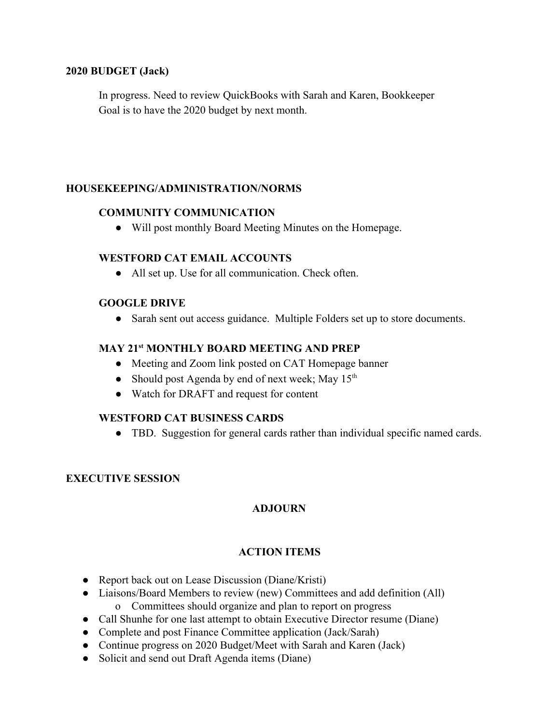#### **2020 BUDGET (Jack)**

In progress. Need to review QuickBooks with Sarah and Karen, Bookkeeper Goal is to have the 2020 budget by next month.

#### **HOUSEKEEPING/ADMINISTRATION/NORMS**

#### **COMMUNITY COMMUNICATION**

● Will post monthly Board Meeting Minutes on the Homepage.

#### **WESTFORD CAT EMAIL ACCOUNTS**

● All set up. Use for all communication. Check often.

#### **GOOGLE DRIVE**

• Sarah sent out access guidance. Multiple Folders set up to store documents.

### **MAY 21st MONTHLY BOARD MEETING AND PREP**

- Meeting and Zoom link posted on CAT Homepage banner
- Should post Agenda by end of next week; May  $15<sup>th</sup>$
- Watch for DRAFT and request for content

### **WESTFORD CAT BUSINESS CARDS**

● TBD. Suggestion for general cards rather than individual specific named cards.

### **EXECUTIVE SESSION**

### **ADJOURN**

### **ACTION ITEMS**

- Report back out on Lease Discussion (Diane/Kristi)
- Liaisons/Board Members to review (new) Committees and add definition (All) o Committees should organize and plan to report on progress
- Call Shunhe for one last attempt to obtain Executive Director resume (Diane)
- Complete and post Finance Committee application (Jack/Sarah)
- Continue progress on 2020 Budget/Meet with Sarah and Karen (Jack)
- Solicit and send out Draft Agenda items (Diane)